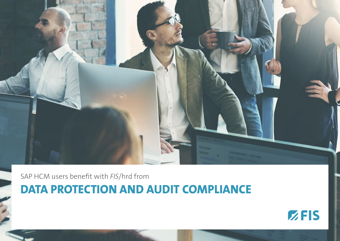

SAP HCM users benefit with *FIS*/hrd from

**DATA PROTECTION AND AUDIT COMPLIANCE**

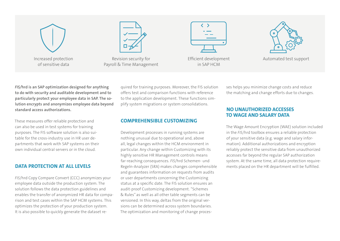

of sensitive data



Revision security for Payroll & Time Management

| ⋗ |  |
|---|--|
|   |  |
|   |  |

Efficient development in SAP HCM



Automated test support

*FIS/***hrd is an SAP optimization designed for anything to do with security and auditable development and to particularly protect your employee data in SAP. The solution encrypts and anonymizes employee data beyond standard access authorizations.**

These measures offer reliable protection and can also be used in test systems for training purposes. The FIS software solution is also suitable for the cross-industry use in HR user departments that work with SAP systems on their own individual central servers or in the cloud.

# **DATA PROTECTION AT ALL LEVELS**

*FIS*/hrd Copy Compare Convert (CCC) anonymizes your employee data outside the production system. The solution follows the data protection guidelines and enables the transfer of anonymized HR data for comparison and test cases within the SAP HCM systems. This optimizes the protection of your production system. It is also possible to quickly generate the dataset required for training purposes. Moreover, the FIS solution offers test and comparison functions with reference to the application development. These functions simplify system migrations or system consolidations.

# **COMPREHENSIBLE CUSTOMIZING**

Development processes in running systems are nothing unusual due to operational and, above all, legal changes within the HCM environment in particular. Any change within Customizing with its highly sensitive HR Management controls means far-reaching consequences. *FIS*/hrd Schemen- und Regeln-Analyzer (SRA) makes changes comprehensible and guarantees information on requests from audits or user departments concerning the Customizing status at a specific date. The FIS solution ensures an audit-proof Customizing development. "Schemes & Rules" as well as all other table segments can be versioned. In this way, deltas from the original versions can be determined across system boundaries. The optimization and monitoring of change processes helps you minimize change costs and reduce the matching and change efforts due to changes.

#### **NO UNAUTHORIZED ACCESSES TO WAGE AND SALARY DATA**

The Wage Amount Encryption (WAE) solution included in the *FIS*/hrd toolbox ensures a reliable protection of your sensitive data (e.g. wage and salary information). Additional authorizations and encryption reliably protect the sensitive data from unauthorized accesses far beyond the regular SAP authorization system. At the same time, all data protection requirements placed on the HR department will be fulfilled.